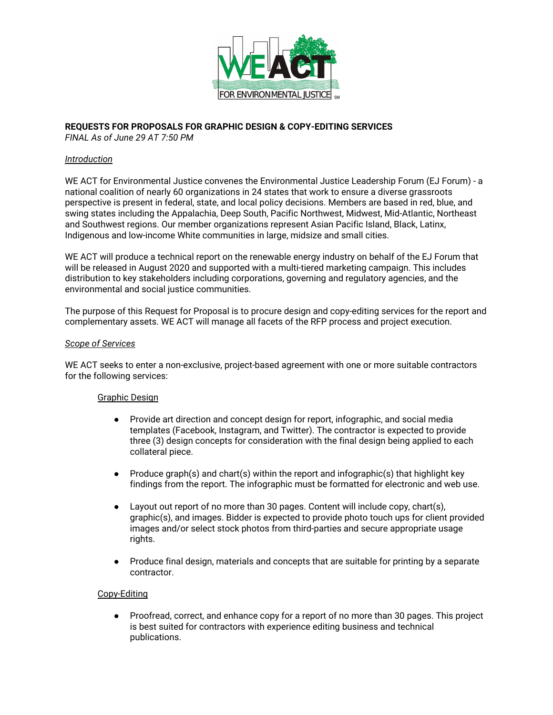

# **REQUESTS FOR PROPOSALS FOR GRAPHIC DESIGN & COPY-EDITING SERVICES**

*FINAL As of June 29 AT 7:50 PM*

## *Introduction*

WE ACT for Environmental Justice convenes the Environmental Justice Leadership Forum (EJ Forum) - a national coalition of nearly 60 organizations in 24 states that work to ensure a diverse grassroots perspective is present in federal, state, and local policy decisions. Members are based in red, blue, and swing states including the Appalachia, Deep South, Pacific Northwest, Midwest, Mid-Atlantic, Northeast and Southwest regions. Our member organizations represent Asian Pacific Island, Black, Latinx, Indigenous and low-income White communities in large, midsize and small cities.

WE ACT will produce a technical report on the renewable energy industry on behalf of the EJ Forum that will be released in August 2020 and supported with a multi-tiered marketing campaign. This includes distribution to key stakeholders including corporations, governing and regulatory agencies, and the environmental and social justice communities.

The purpose of this Request for Proposal is to procure design and copy-editing services for the report and complementary assets. WE ACT will manage all facets of the RFP process and project execution.

#### *Scope of Services*

WE ACT seeks to enter a non-exclusive, project-based agreement with one or more suitable contractors for the following services:

# Graphic Design

- Provide art direction and concept design for report, infographic, and social media templates (Facebook, Instagram, and Twitter). The contractor is expected to provide three (3) design concepts for consideration with the final design being applied to each collateral piece.
- Produce graph(s) and chart(s) within the report and infographic(s) that highlight key findings from the report. The infographic must be formatted for electronic and web use.
- Layout out report of no more than 30 pages. Content will include copy, chart(s), graphic(s), and images. Bidder is expected to provide photo touch ups for client provided images and/or select stock photos from third-parties and secure appropriate usage rights.
- Produce final design, materials and concepts that are suitable for printing by a separate contractor.

#### Copy-Editing

● Proofread, correct, and enhance copy for a report of no more than 30 pages. This project is best suited for contractors with experience editing business and technical publications.